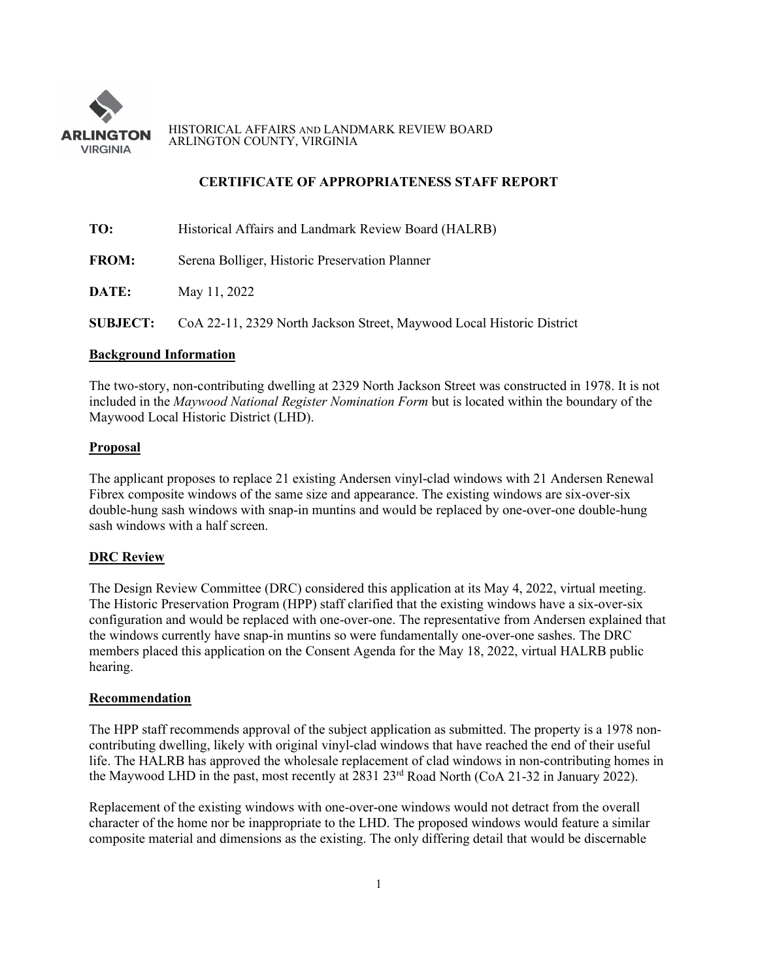

HISTORICAL AFFAIRS AND LANDMARK REVIEW BOARD ARLINGTON COUNTY, VIRGINIA

# **CERTIFICATE OF APPROPRIATENESS STAFF REPORT**

| TO:          | Historical Affairs and Landmark Review Board (HALRB)                                  |
|--------------|---------------------------------------------------------------------------------------|
| <b>FROM:</b> | Serena Bolliger, Historic Preservation Planner                                        |
| DATE:        | May 11, 2022                                                                          |
|              | <b>SUBJECT:</b> CoA 22-11, 2329 North Jackson Street, Maywood Local Historic District |

## **Background Information**

The two-story, non-contributing dwelling at 2329 North Jackson Street was constructed in 1978. It is not included in the *Maywood National Register Nomination Form* but is located within the boundary of the Maywood Local Historic District (LHD).

### **Proposal**

The applicant proposes to replace 21 existing Andersen vinyl-clad windows with 21 Andersen Renewal Fibrex composite windows of the same size and appearance. The existing windows are six-over-six double-hung sash windows with snap-in muntins and would be replaced by one-over-one double-hung sash windows with a half screen.

### **DRC Review**

The Design Review Committee (DRC) considered this application at its May 4, 2022, virtual meeting. The Historic Preservation Program (HPP) staff clarified that the existing windows have a six-over-six configuration and would be replaced with one-over-one. The representative from Andersen explained that the windows currently have snap-in muntins so were fundamentally one-over-one sashes. The DRC members placed this application on the Consent Agenda for the May 18, 2022, virtual HALRB public hearing.

#### **Recommendation**

The HPP staff recommends approval of the subject application as submitted. The property is a 1978 noncontributing dwelling, likely with original vinyl-clad windows that have reached the end of their useful life. The HALRB has approved the wholesale replacement of clad windows in non-contributing homes in the Maywood LHD in the past, most recently at 2831 23rd Road North (CoA 21-32 in January 2022).

Replacement of the existing windows with one-over-one windows would not detract from the overall character of the home nor be inappropriate to the LHD. The proposed windows would feature a similar composite material and dimensions as the existing. The only differing detail that would be discernable